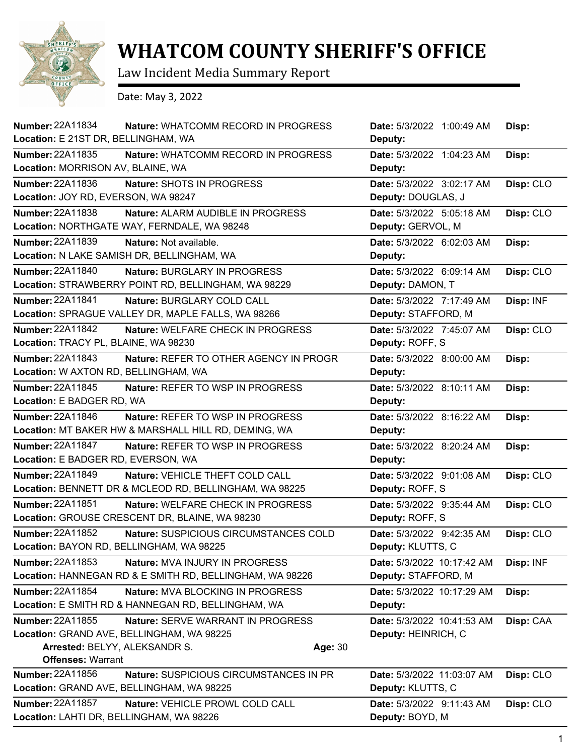

## **WHATCOM COUNTY SHERIFF'S OFFICE**

Law Incident Media Summary Report

Date: May 3, 2022

| Number: 22A11834<br>Nature: WHATCOMM RECORD IN PROGRESS            | Date: 5/3/2022 1:00:49 AM  | Disp:     |
|--------------------------------------------------------------------|----------------------------|-----------|
| Location: E 21ST DR, BELLINGHAM, WA                                | Deputy:                    |           |
| <b>Number: 22A11835</b><br>Nature: WHATCOMM RECORD IN PROGRESS     | Date: 5/3/2022 1:04:23 AM  | Disp:     |
| Location: MORRISON AV, BLAINE, WA                                  | Deputy:                    |           |
| Number: 22A11836<br>Nature: SHOTS IN PROGRESS                      | Date: 5/3/2022 3:02:17 AM  | Disp: CLO |
| Location: JOY RD, EVERSON, WA 98247                                | Deputy: DOUGLAS, J         |           |
| Number: 22A11838<br>Nature: ALARM AUDIBLE IN PROGRESS              | Date: 5/3/2022 5:05:18 AM  | Disp: CLO |
| Location: NORTHGATE WAY, FERNDALE, WA 98248                        | Deputy: GERVOL, M          |           |
| Number: 22A11839<br>Nature: Not available.                         | Date: 5/3/2022 6:02:03 AM  | Disp:     |
| Location: N LAKE SAMISH DR, BELLINGHAM, WA                         | Deputy:                    |           |
| Number: 22A11840<br>Nature: BURGLARY IN PROGRESS                   | Date: 5/3/2022 6:09:14 AM  | Disp: CLO |
| Location: STRAWBERRY POINT RD, BELLINGHAM, WA 98229                | Deputy: DAMON, T           |           |
| Number: 22A11841<br>Nature: BURGLARY COLD CALL                     | Date: 5/3/2022 7:17:49 AM  | Disp: INF |
| Location: SPRAGUE VALLEY DR, MAPLE FALLS, WA 98266                 | Deputy: STAFFORD, M        |           |
| Number: 22A11842<br>Nature: WELFARE CHECK IN PROGRESS              | Date: 5/3/2022 7:45:07 AM  | Disp: CLO |
| Location: TRACY PL, BLAINE, WA 98230                               | Deputy: ROFF, S            |           |
| Number: 22A11843<br>Nature: REFER TO OTHER AGENCY IN PROGR         | Date: 5/3/2022 8:00:00 AM  | Disp:     |
| Location: W AXTON RD, BELLINGHAM, WA                               | Deputy:                    |           |
| Number: 22A11845<br>Nature: REFER TO WSP IN PROGRESS               | Date: 5/3/2022 8:10:11 AM  | Disp:     |
| Location: E BADGER RD, WA                                          | Deputy:                    |           |
| Number: 22A11846<br><b>Nature: REFER TO WSP IN PROGRESS</b>        | Date: 5/3/2022 8:16:22 AM  | Disp:     |
| Location: MT BAKER HW & MARSHALL HILL RD, DEMING, WA               | Deputy:                    |           |
| <b>Number: 22A11847</b><br><b>Nature: REFER TO WSP IN PROGRESS</b> | Date: 5/3/2022 8:20:24 AM  | Disp:     |
| Location: E BADGER RD, EVERSON, WA                                 | Deputy:                    |           |
| Number: 22A11849<br>Nature: VEHICLE THEFT COLD CALL                | Date: 5/3/2022 9:01:08 AM  | Disp: CLO |
| Location: BENNETT DR & MCLEOD RD, BELLINGHAM, WA 98225             | Deputy: ROFF, S            |           |
| Number: 22A11851<br>Nature: WELFARE CHECK IN PROGRESS              | Date: 5/3/2022 9:35:44 AM  | Disp: CLO |
| Location: GROUSE CRESCENT DR, BLAINE, WA 98230                     | Deputy: ROFF, S            |           |
| Number: 22A11852<br>Nature: SUSPICIOUS CIRCUMSTANCES COLD          | Date: 5/3/2022 9:42:35 AM  | Disp: CLO |
| Location: BAYON RD, BELLINGHAM, WA 98225                           | Deputy: KLUTTS, C          |           |
| Number: 22A11853<br>Nature: MVA INJURY IN PROGRESS                 | Date: 5/3/2022 10:17:42 AM | Disp: INF |
| Location: HANNEGAN RD & E SMITH RD, BELLINGHAM, WA 98226           | Deputy: STAFFORD, M        |           |
| Number: 22A11854<br>Nature: MVA BLOCKING IN PROGRESS               | Date: 5/3/2022 10:17:29 AM | Disp:     |
| Location: E SMITH RD & HANNEGAN RD, BELLINGHAM, WA                 | Deputy:                    |           |
| Number: 22A11855<br>Nature: SERVE WARRANT IN PROGRESS              | Date: 5/3/2022 10:41:53 AM | Disp: CAA |
| Location: GRAND AVE, BELLINGHAM, WA 98225                          | Deputy: HEINRICH, C        |           |
| Arrested: BELYY, ALEKSANDR S.<br>Age: 30                           |                            |           |
| <b>Offenses: Warrant</b>                                           |                            |           |
| Number: 22A11856<br>Nature: SUSPICIOUS CIRCUMSTANCES IN PR         | Date: 5/3/2022 11:03:07 AM | Disp: CLO |
| Location: GRAND AVE, BELLINGHAM, WA 98225                          | Deputy: KLUTTS, C          |           |
| Number: 22A11857<br>Nature: VEHICLE PROWL COLD CALL                | Date: 5/3/2022 9:11:43 AM  | Disp: CLO |
| Location: LAHTI DR, BELLINGHAM, WA 98226                           | Deputy: BOYD, M            |           |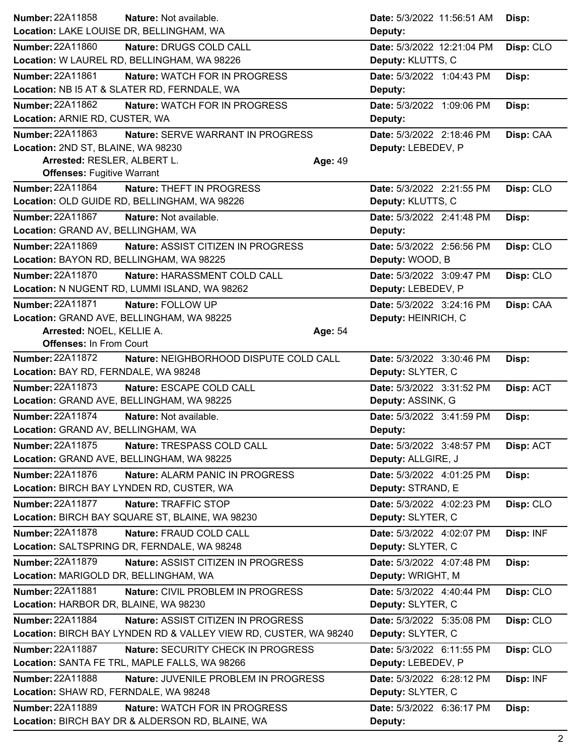| Number: 22A11858<br>Nature: Not available.                                                                | Date: 5/3/2022 11:56:51 AM                      | Disp:     |
|-----------------------------------------------------------------------------------------------------------|-------------------------------------------------|-----------|
| Location: LAKE LOUISE DR, BELLINGHAM, WA                                                                  | Deputy:                                         |           |
| <b>Number: 22A11860</b><br>Nature: DRUGS COLD CALL<br>Location: W LAUREL RD, BELLINGHAM, WA 98226         | Date: 5/3/2022 12:21:04 PM<br>Deputy: KLUTTS, C | Disp: CLO |
| Number: 22A11861<br>Nature: WATCH FOR IN PROGRESS<br>Location: NB I5 AT & SLATER RD, FERNDALE, WA         | Date: 5/3/2022 1:04:43 PM<br>Deputy:            | Disp:     |
| Number: 22A11862<br>Nature: WATCH FOR IN PROGRESS<br>Location: ARNIE RD, CUSTER, WA                       | Date: 5/3/2022 1:09:06 PM<br>Deputy:            | Disp:     |
| Number: 22A11863<br>Nature: SERVE WARRANT IN PROGRESS                                                     | Date: 5/3/2022 2:18:46 PM                       | Disp: CAA |
| Location: 2ND ST, BLAINE, WA 98230                                                                        | Deputy: LEBEDEV, P                              |           |
| Arrested: RESLER, ALBERT L.<br>Age: 49                                                                    |                                                 |           |
| <b>Offenses: Fugitive Warrant</b>                                                                         |                                                 |           |
| Number: 22A11864<br>Nature: THEFT IN PROGRESS                                                             | Date: 5/3/2022 2:21:55 PM                       | Disp: CLO |
| Location: OLD GUIDE RD, BELLINGHAM, WA 98226                                                              | Deputy: KLUTTS, C                               |           |
| <b>Number: 22A11867</b><br>Nature: Not available.                                                         | Date: 5/3/2022 2:41:48 PM                       | Disp:     |
| Location: GRAND AV, BELLINGHAM, WA                                                                        | Deputy:                                         |           |
| Number: 22A11869<br>Nature: ASSIST CITIZEN IN PROGRESS                                                    | Date: 5/3/2022 2:56:56 PM                       | Disp: CLO |
| Location: BAYON RD, BELLINGHAM, WA 98225                                                                  | Deputy: WOOD, B                                 |           |
| <b>Number: 22A11870</b><br>Nature: HARASSMENT COLD CALL                                                   | Date: 5/3/2022 3:09:47 PM                       | Disp: CLO |
| Location: N NUGENT RD, LUMMI ISLAND, WA 98262                                                             | Deputy: LEBEDEV, P                              |           |
| Number: 22A11871<br>Nature: FOLLOW UP                                                                     | Date: 5/3/2022 3:24:16 PM                       | Disp: CAA |
| Location: GRAND AVE, BELLINGHAM, WA 98225                                                                 | Deputy: HEINRICH, C                             |           |
| Arrested: NOEL, KELLIE A.<br>Age: 54                                                                      |                                                 |           |
| <b>Offenses: In From Court</b>                                                                            |                                                 |           |
| <b>Number: 22A11872</b><br>Nature: NEIGHBORHOOD DISPUTE COLD CALL<br>Location: BAY RD, FERNDALE, WA 98248 | Date: 5/3/2022 3:30:46 PM<br>Deputy: SLYTER, C  | Disp:     |
| <b>Number: 22A11873</b><br>Nature: ESCAPE COLD CALL                                                       | Date: 5/3/2022 3:31:52 PM                       | Disp: ACT |
| Location: GRAND AVE, BELLINGHAM, WA 98225                                                                 | Deputy: ASSINK, G                               |           |
| Number: 22A11874<br>Nature: Not available.                                                                | Date: 5/3/2022 3:41:59 PM                       | Disp:     |
| Location: GRAND AV, BELLINGHAM, WA                                                                        | Deputy:                                         |           |
| <b>Number: 22A11875</b><br>Nature: TRESPASS COLD CALL                                                     | Date: 5/3/2022 3:48:57 PM                       | Disp: ACT |
| Location: GRAND AVE, BELLINGHAM, WA 98225                                                                 | Deputy: ALLGIRE, J                              |           |
| Number: 22A11876<br>Nature: ALARM PANIC IN PROGRESS                                                       | Date: 5/3/2022 4:01:25 PM                       | Disp:     |
| Location: BIRCH BAY LYNDEN RD, CUSTER, WA                                                                 | Deputy: STRAND, E                               |           |
| <b>Number: 22A11877</b><br>Nature: TRAFFIC STOP                                                           | Date: 5/3/2022 4:02:23 PM                       | Disp: CLO |
| Location: BIRCH BAY SQUARE ST, BLAINE, WA 98230                                                           | Deputy: SLYTER, C                               |           |
| <b>Number: 22A11878</b><br>Nature: FRAUD COLD CALL                                                        | Date: 5/3/2022 4:02:07 PM                       | Disp: INF |
| Location: SALTSPRING DR, FERNDALE, WA 98248                                                               | Deputy: SLYTER, C                               |           |
| Number: 22A11879<br>Nature: ASSIST CITIZEN IN PROGRESS                                                    | Date: 5/3/2022 4:07:48 PM                       | Disp:     |
| Location: MARIGOLD DR, BELLINGHAM, WA                                                                     | Deputy: WRIGHT, M                               |           |
| <b>Number: 22A11881</b><br>Nature: CIVIL PROBLEM IN PROGRESS                                              | Date: 5/3/2022 4:40:44 PM                       | Disp: CLO |
| Location: HARBOR DR, BLAINE, WA 98230                                                                     | Deputy: SLYTER, C                               |           |
| Number: 22A11884<br>Nature: ASSIST CITIZEN IN PROGRESS                                                    | Date: 5/3/2022 5:35:08 PM                       | Disp: CLO |
| Location: BIRCH BAY LYNDEN RD & VALLEY VIEW RD, CUSTER, WA 98240                                          | Deputy: SLYTER, C                               |           |
| <b>Number: 22A11887</b><br>Nature: SECURITY CHECK IN PROGRESS                                             | Date: 5/3/2022 6:11:55 PM                       | Disp: CLO |
| Location: SANTA FE TRL, MAPLE FALLS, WA 98266                                                             | Deputy: LEBEDEV, P                              |           |
| Number: 22A11888<br>Nature: JUVENILE PROBLEM IN PROGRESS                                                  | Date: 5/3/2022 6:28:12 PM                       | Disp: INF |
| Location: SHAW RD, FERNDALE, WA 98248                                                                     | Deputy: SLYTER, C                               |           |
| Number: 22A11889<br>Nature: WATCH FOR IN PROGRESS                                                         | Date: 5/3/2022 6:36:17 PM                       | Disp:     |
| Location: BIRCH BAY DR & ALDERSON RD, BLAINE, WA                                                          | Deputy:                                         |           |